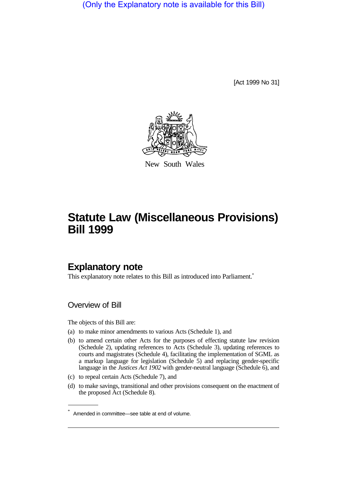(Only the Explanatory note is available for this Bill)

[Act 1999 No 31]



New South Wales

# **Statute Law (Miscellaneous Provisions) Bill 1999**

# **Explanatory note**

This explanatory note relates to this Bill as introduced into Parliament.<sup>\*</sup>

# Overview of Bill

The objects of this Bill are:

- (a) to make minor amendments to various Acts (Schedule 1), and
- (b) to amend certain other Acts for the purposes of effecting statute law revision (Schedule 2), updating references to Acts (Schedule 3), updating references to courts and magistrates (Schedule 4), facilitating the implementation of SGML as a markup language for legislation (Schedule 5) and replacing gender-specific language in the *Justices Act 1902* with gender-neutral language (Schedule 6), and
- (c) to repeal certain Acts (Schedule 7), and
- (d) to make savings, transitional and other provisions consequent on the enactment of the proposed Act (Schedule 8).

<sup>\*</sup> Amended in committee—see table at end of volume.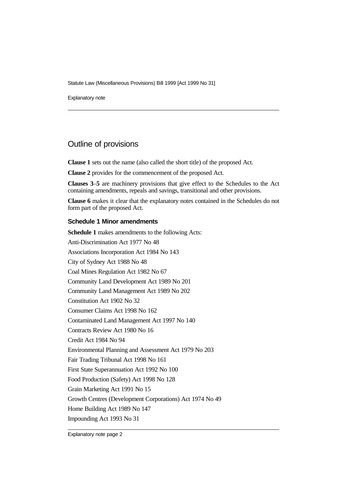Explanatory note

# Outline of provisions

**Clause 1** sets out the name (also called the short title) of the proposed Act.

**Clause 2** provides for the commencement of the proposed Act.

**Clauses 3**–**5** are machinery provisions that give effect to the Schedules to the Act containing amendments, repeals and savings, transitional and other provisions.

**Clause 6** makes it clear that the explanatory notes contained in the Schedules do not form part of the proposed Act.

## **Schedule 1 Minor amendments**

**Schedule 1** makes amendments to the following Acts: Anti-Discrimination Act 1977 No 48 Associations Incorporation Act 1984 No 143 City of Sydney Act 1988 No 48 Coal Mines Regulation Act 1982 No 67 Community Land Development Act 1989 No 201 Community Land Management Act 1989 No 202 Constitution Act 1902 No 32 Consumer Claims Act 1998 No 162 Contaminated Land Management Act 1997 No 140 Contracts Review Act 1980 No 16 Credit Act 1984 No 94 Environmental Planning and Assessment Act 1979 No 203 Fair Trading Tribunal Act 1998 No 161 First State Superannuation Act 1992 No 100 Food Production (Safety) Act 1998 No 128 Grain Marketing Act 1991 No 15 Growth Centres (Development Corporations) Act 1974 No 49 Home Building Act 1989 No 147 Impounding Act 1993 No 31

Explanatory note page 2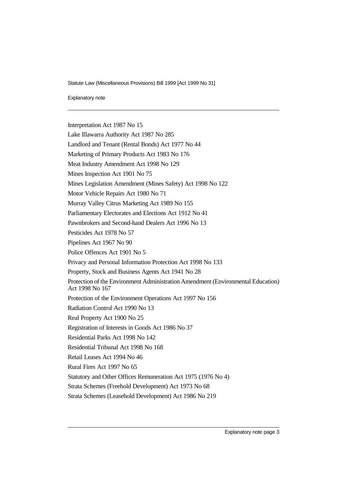Explanatory note

Interpretation Act 1987 No 15 Lake Illawarra Authority Act 1987 No 285 Landlord and Tenant (Rental Bonds) Act 1977 No 44 Marketing of Primary Products Act 1983 No 176 Meat Industry Amendment Act 1998 No 129 Mines Inspection Act 1901 No 75 Mines Legislation Amendment (Mines Safety) Act 1998 No 122 Motor Vehicle Repairs Act 1980 No 71 Murray Valley Citrus Marketing Act 1989 No 155 Parliamentary Electorates and Elections Act 1912 No 41 Pawnbrokers and Second-hand Dealers Act 1996 No 13 Pesticides Act 1978 No 57 Pipelines Act 1967 No 90 Police Offences Act 1901 No 5 Privacy and Personal Information Protection Act 1998 No 133 Property, Stock and Business Agents Act 1941 No 28 Protection of the Environment Administration Amendment (Environmental Education) Act 1998 No 167 Protection of the Environment Operations Act 1997 No 156 Radiation Control Act 1990 No 13 Real Property Act 1900 No 25 Registration of Interests in Goods Act 1986 No 37 Residential Parks Act 1998 No 142 Residential Tribunal Act 1998 No 168 Retail Leases Act 1994 No 46 Rural Fires Act 1997 No 65 Statutory and Other Offices Remuneration Act 1975 (1976 No 4) Strata Schemes (Freehold Development) Act 1973 No 68 Strata Schemes (Leasehold Development) Act 1986 No 219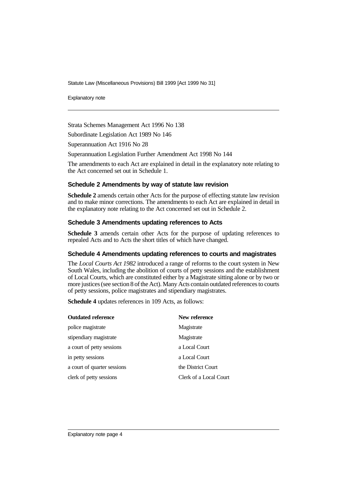Explanatory note

Strata Schemes Management Act 1996 No 138

Subordinate Legislation Act 1989 No 146

Superannuation Act 1916 No 28

Superannuation Legislation Further Amendment Act 1998 No 144

The amendments to each Act are explained in detail in the explanatory note relating to the Act concerned set out in Schedule 1.

#### **Schedule 2 Amendments by way of statute law revision**

**Schedule 2** amends certain other Acts for the purpose of effecting statute law revision and to make minor corrections. The amendments to each Act are explained in detail in the explanatory note relating to the Act concerned set out in Schedule 2.

#### **Schedule 3 Amendments updating references to Acts**

**Schedule 3** amends certain other Acts for the purpose of updating references to repealed Acts and to Acts the short titles of which have changed.

#### **Schedule 4 Amendments updating references to courts and magistrates**

The *Local Courts Act 1982* introduced a range of reforms to the court system in New South Wales, including the abolition of courts of petty sessions and the establishment of Local Courts, which are constituted either by a Magistrate sitting alone or by two or more justices (see section 8 of the Act). Many Acts contain outdated references to courts of petty sessions, police magistrates and stipendiary magistrates.

**Schedule 4** updates references in 109 Acts, as follows:

| <b>Outdated reference</b>   | New reference          |
|-----------------------------|------------------------|
| police magistrate           | Magistrate             |
| stipendiary magistrate      | Magistrate             |
| a court of petty sessions   | a Local Court          |
| in petty sessions           | a Local Court          |
| a court of quarter sessions | the District Court     |
| clerk of petty sessions     | Clerk of a Local Court |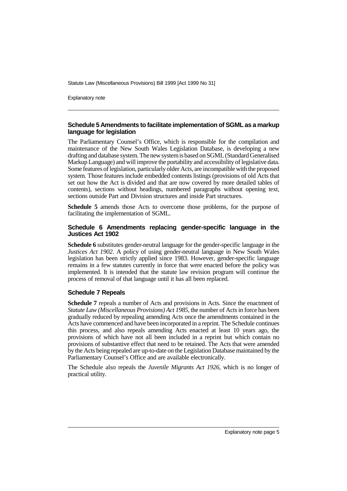Explanatory note

## **Schedule 5 Amendments to facilitate implementation of SGML as a markup language for legislation**

The Parliamentary Counsel's Office, which is responsible for the compilation and maintenance of the New South Wales Legislation Database, is developing a new drafting and database system. The new system is based on SGML (Standard Generalised Markup Language) and will improve the portability and accessibility of legislative data. Some features of legislation, particularly older Acts, are incompatible with the proposed system. Those features include embedded contents listings (provisions of old Acts that set out how the Act is divided and that are now covered by more detailed tables of contents), sections without headings, numbered paragraphs without opening text, sections outside Part and Division structures and inside Part structures.

**Schedule 5** amends those Acts to overcome those problems, for the purpose of facilitating the implementation of SGML.

## **Schedule 6 Amendments replacing gender-specific language in the Justices Act 1902**

**Schedule 6** substitutes gender-neutral language for the gender-specific language in the *Justices Act 1902*. A policy of using gender-neutral language in New South Wales legislation has been strictly applied since 1983. However, gender-specific language remains in a few statutes currently in force that were enacted before the policy was implemented. It is intended that the statute law revision program will continue the process of removal of that language until it has all been replaced.

## **Schedule 7 Repeals**

**Schedule 7** repeals a number of Acts and provisions in Acts. Since the enactment of *Statute Law (Miscellaneous Provisions) Act 1985*, the number of Acts in force has been gradually reduced by repealing amending Acts once the amendments contained in the Acts have commenced and have been incorporated in a reprint. The Schedule continues this process, and also repeals amending Acts enacted at least 10 years ago, the provisions of which have not all been included in a reprint but which contain no provisions of substantive effect that need to be retained. The Acts that were amended by the Acts being repealed are up-to-date on the Legislation Database maintained by the Parliamentary Counsel's Office and are available electronically.

The Schedule also repeals the *Juvenile Migrants Act 1926*, which is no longer of practical utility.